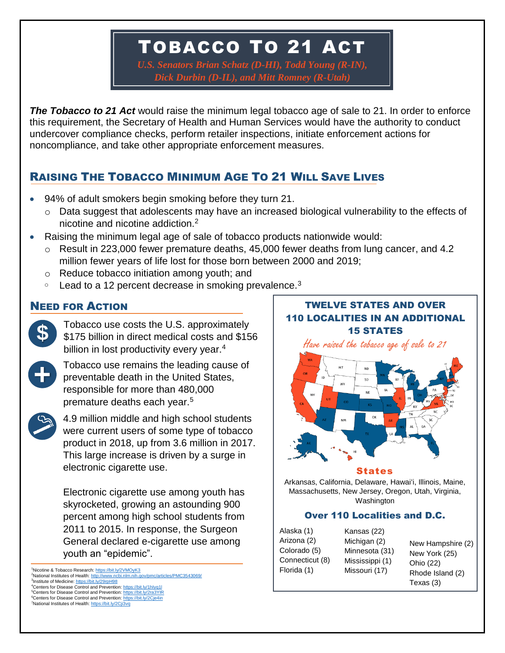## TOBACCO TO 21 ACT

*U.S. Senators Brian Schatz (D-HI), Todd Young (R-IN), Dick Durbin (D-IL), and Mitt Romney (R-Utah)*

*The Tobacco to 21 Act* would raise the minimum legal tobacco age of sale to 21. In order to enforce this requirement, the Secretary of Health and Human Services would have the authority to conduct undercover compliance checks, perform retailer inspections, initiate enforcement actions for noncompliance, and take other appropriate enforcement measures.

### RAISING THE TOBACCO MINIMUM AGE TO 21 WILL SAVE LIVES

- 94% of adult smokers begin smoking before they turn 21.
	- o Data suggest that adolescents may have an increased biological vulnerability to the effects of nicotine and nicotine addiction.<sup>2</sup>
- Raising the minimum legal age of sale of tobacco products nationwide would:
	- o Result in 223,000 fewer premature deaths, 45,000 fewer deaths from lung cancer, and 4.2 million fewer years of life lost for those born between 2000 and 2019;
	- o Reduce tobacco initiation among youth; and
	- $\degree$  Lead to a 12 percent decrease in smoking prevalence.<sup>3</sup>



Tobacco use costs the U.S. approximately \$175 billion in direct medical costs and \$156 billion in lost productivity every year.<sup>4</sup>



Tobacco use remains the leading cause of preventable death in the United States, responsible for more than 480,000 premature deaths each year.<sup>5</sup>



4.9 million middle and high school students were current users of some type of tobacco product in 2018, up from 3.6 million in 2017. This large increase is driven by a surge in electronic cigarette use.

Electronic cigarette use among youth has skyrocketed, growing an astounding 900 percent among high school students from 2011 to 2015. In response, the Surgeon General declared e-cigarette use among youth an "epidemic".

<sup>1</sup>Nicotine & Tobacco Research[: https://bit.ly/2VMOyK3](https://bit.ly/2VMOyK3) <sup>2</sup>National Institutes of Health[: http://www.ncbi.nlm.nih.gov/pmc/articles/PMC3543069/](http://www.ncbi.nlm.nih.gov/pmc/articles/PMC3543069/) <sup>3</sup>Institute of Medicine[: https://bit.ly/29rpH98](https://bit.ly/29rpH98) <sup>4</sup>Centers for Disease Control and Prevention: https://bit.ly/1hlyq1l <sup>5</sup>Centers for Disease Control and Prevention[: https://bit.ly/2ra3YIR](https://bit.ly/2ra3YIR) <sup>6</sup>Centers for Disease Control and Prevention[: https://bit.ly/2Cje4in](https://bit.ly/2Cje4in) <sup>7</sup>National Institutes of Health[: https://bit.ly/2Cji3vq](https://bit.ly/2Cji3vq)

# NEED FOR ACTION TWELVE STATES AND OVER 110 LOCALITIES IN AN ADDITIONAL 15 STATES Have raised the tobacco age of sale to 21



### States

Massachusetts, New Jersey, Oregon, Utah, Virginia, Arkansas, California, Delaware, Hawaiʻi, Illinois, Maine, Washington

### Over 110 Localities and D.C.

Alaska (1) Arizona (2) Colorado (5) Connecticut (8) Florida (1)

Kansas (22) Michigan (2) Minnesota (31) Mississippi (1) Missouri (17)

New Hampshire (2) New York (25) Ohio (22) Rhode Island (2) Texas (3)